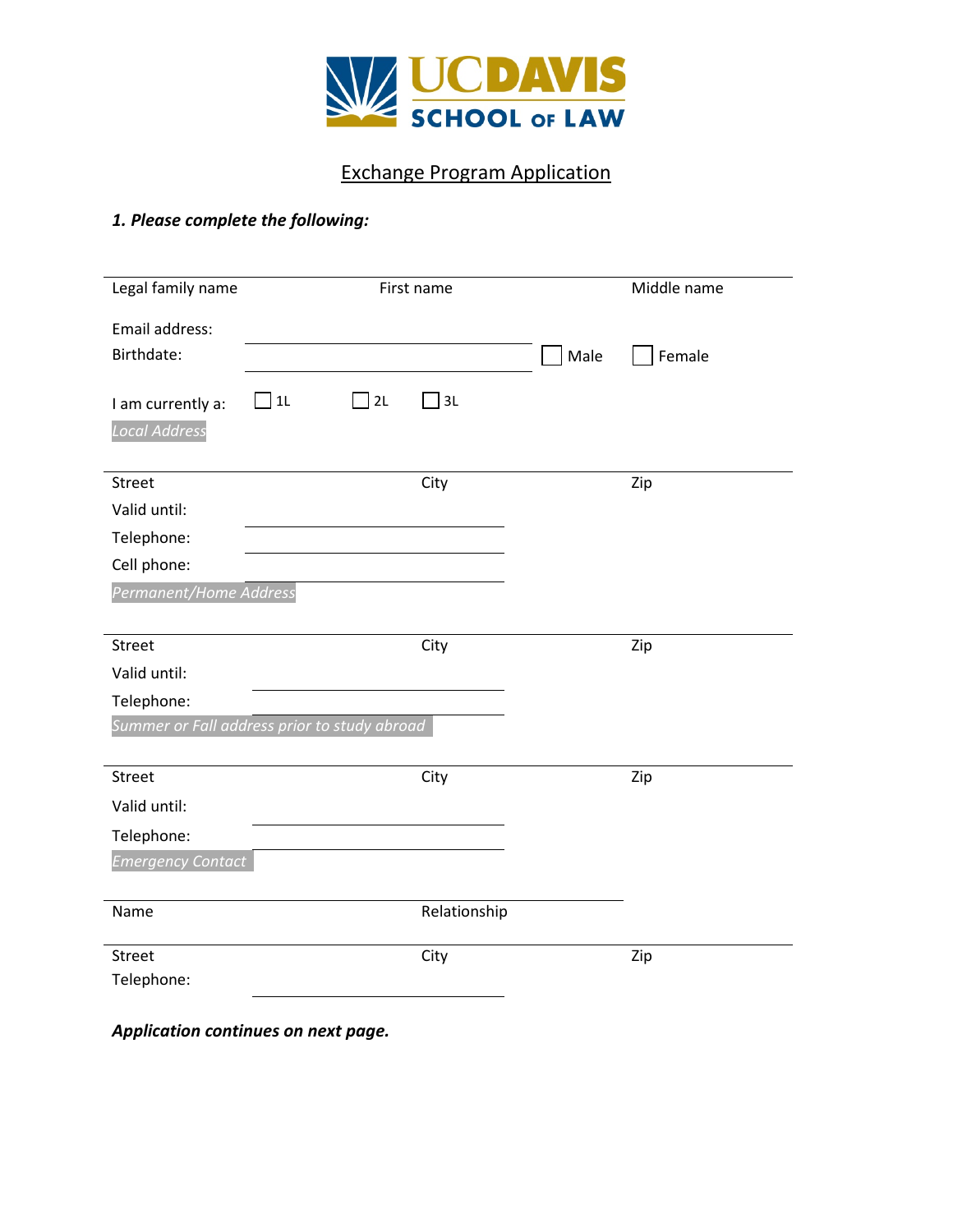

# Exchange Program Application

## *1. Please complete the following:*

| Legal family name                            | First name |    |              |      | Middle name |
|----------------------------------------------|------------|----|--------------|------|-------------|
| Email address:                               |            |    |              |      |             |
| Birthdate:                                   |            |    |              | Male | Female      |
| I am currently a:                            | $\Box$ 11  | 2L | 3L           |      |             |
| <b>Local Address</b>                         |            |    |              |      |             |
|                                              |            |    |              |      |             |
| <b>Street</b>                                |            |    | City         |      | Zip         |
| Valid until:                                 |            |    |              |      |             |
| Telephone:                                   |            |    |              |      |             |
| Cell phone:                                  |            |    |              |      |             |
| Permanent/Home Address                       |            |    |              |      |             |
|                                              |            |    |              |      |             |
| Street                                       |            |    | City         |      | Zip         |
| Valid until:                                 |            |    |              |      |             |
| Telephone:                                   |            |    |              |      |             |
| Summer or Fall address prior to study abroad |            |    |              |      |             |
|                                              |            |    |              |      |             |
| Street                                       |            |    | City         |      | Zip         |
| Valid until:                                 |            |    |              |      |             |
| Telephone:                                   |            |    |              |      |             |
| <b>Emergency Contact</b>                     |            |    |              |      |             |
|                                              |            |    |              |      |             |
| Name                                         |            |    | Relationship |      |             |
| Street                                       |            |    | City         |      | Zip         |
| Telephone:                                   |            |    |              |      |             |
|                                              |            |    |              |      |             |

*Application continues on next page.*